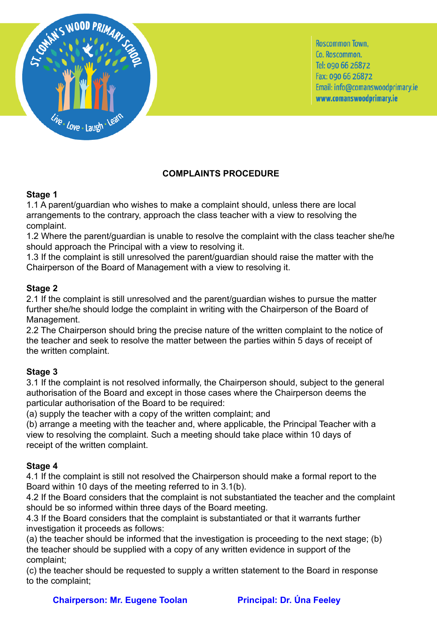

Roscommon Town. Co. Roscommon. Tel: 090 66 26872 Fax: 090 66 26872 Email: info@comanswoodprimary.ie www.comanswoodprimary.ie

# **COMPLAINTS PROCEDURE**

## **Stage 1**

1.1 A parent/guardian who wishes to make a complaint should, unless there are local arrangements to the contrary, approach the class teacher with a view to resolving the complaint.

1.2 Where the parent/guardian is unable to resolve the complaint with the class teacher she/he should approach the Principal with a view to resolving it.

1.3 If the complaint is still unresolved the parent/guardian should raise the matter with the Chairperson of the Board of Management with a view to resolving it.

## **Stage 2**

2.1 If the complaint is still unresolved and the parent/guardian wishes to pursue the matter further she/he should lodge the complaint in writing with the Chairperson of the Board of Management.

2.2 The Chairperson should bring the precise nature of the written complaint to the notice of the teacher and seek to resolve the matter between the parties within 5 days of receipt of the written complaint.

# **Stage 3**

3.1 If the complaint is not resolved informally, the Chairperson should, subject to the general authorisation of the Board and except in those cases where the Chairperson deems the particular authorisation of the Board to be required:

(a) supply the teacher with a copy of the written complaint; and

(b) arrange a meeting with the teacher and, where applicable, the Principal Teacher with a view to resolving the complaint. Such a meeting should take place within 10 days of receipt of the written complaint.

# **Stage 4**

4.1 If the complaint is still not resolved the Chairperson should make a formal report to the Board within 10 days of the meeting referred to in 3.1(b).

4.2 If the Board considers that the complaint is not substantiated the teacher and the complaint should be so informed within three days of the Board meeting.

4.3 If the Board considers that the complaint is substantiated or that it warrants further investigation it proceeds as follows:

(a) the teacher should be informed that the investigation is proceeding to the next stage; (b) the teacher should be supplied with a copy of any written evidence in support of the complaint;

(c) the teacher should be requested to supply a written statement to the Board in response to the complaint;

**Chairperson: Mr. Eugene Toolan Principal: Dr. Úna Feeley**